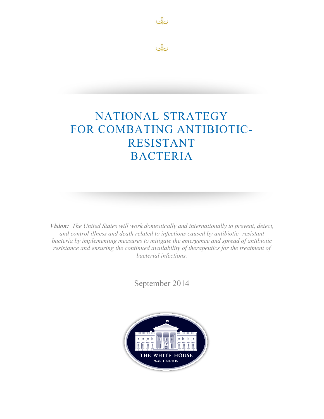

# NATIONAL STRATEGY FOR COMBATING ANTIBIOTIC-RESISTANT BACTERIA

*Vision: The United States will work domestically and internationally to prevent, detect, and control illness and death related to infections caused by antibiotic- resistant bacteria by implementing measures to mitigate the emergence and spread of antibiotic resistance and ensuring the continued availability of therapeutics for the treatment of bacterial infections.*

September 2014

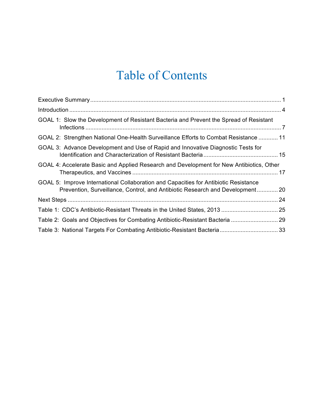# Table of Contents

| GOAL 1: Slow the Development of Resistant Bacteria and Prevent the Spread of Resistant                                                                                |  |
|-----------------------------------------------------------------------------------------------------------------------------------------------------------------------|--|
| GOAL 2: Strengthen National One-Health Surveillance Efforts to Combat Resistance  11                                                                                  |  |
| GOAL 3: Advance Development and Use of Rapid and Innovative Diagnostic Tests for                                                                                      |  |
| GOAL 4: Accelerate Basic and Applied Research and Development for New Antibiotics, Other                                                                              |  |
| GOAL 5: Improve International Collaboration and Capacities for Antibiotic Resistance<br>Prevention, Surveillance, Control, and Antibiotic Research and Development 20 |  |
|                                                                                                                                                                       |  |
|                                                                                                                                                                       |  |
| Table 2: Goals and Objectives for Combating Antibiotic-Resistant Bacteria  29                                                                                         |  |
| Table 3: National Targets For Combating Antibiotic-Resistant Bacteria33                                                                                               |  |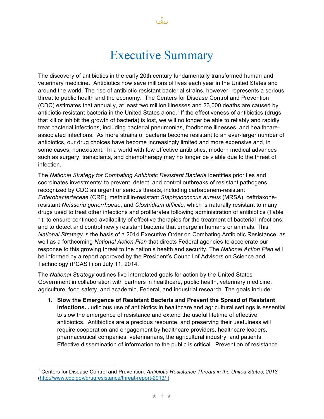

# Executive Summary

The discovery of antibiotics in the early 20th century fundamentally transformed human and veterinary medicine. Antibiotics now save millions of lives each year in the United States and around the world. The rise of antibiotic-resistant bacterial strains, however, represents a serious threat to public health and the economy. The Centers for Disease Control and Prevention (CDC) estimates that annually, at least two million illnesses and 23,000 deaths are caused by antibiotic-resistant bacteria in the United States alone.<sup>1</sup> If the effectiveness of antibiotics (drugs that kill or inhibit the growth of bacteria) is lost, we will no longer be able to reliably and rapidly treat bacterial infections, including bacterial pneumonias, foodborne illnesses, and healthcareassociated infections. As more strains of bacteria become resistant to an ever-larger number of antibiotics, our drug choices have become increasingly limited and more expensive and, in some cases, nonexistent. In a world with few effective antibiotics, modern medical advances such as surgery, transplants, and chemotherapy may no longer be viable due to the threat of infection.

The *National Strategy for Combating Antibiotic Resistant Bacteria* identifies priorities and coordinates investments: to prevent, detect, and control outbreaks of resistant pathogens recognized by CDC as urgent or serious threats, including carbapenem-resistant *Enterobacteriaceae* (CRE), methicillin-resistant *Staphylococcus aureus* (MRSA), ceftriaxoneresistant *Neisseria gonorrhoeae*, and *Clostridium difficile,* which is naturally resistant to many drugs used to treat other infections and proliferates following administration of antibiotics (Table 1); to ensure continued availability of effective therapies for the treatment of bacterial infections; and to detect and control newly resistant bacteria that emerge in humans or animals. This *National Strategy* is the basis of a 2014 Executive Order on Combating Antibiotic Resistance, as well as a forthcoming *National Action Plan* that directs Federal agencies to accelerate our response to this growing threat to the nation's health and security. The *National Action Plan* will be informed by a report approved by the President's Council of Advisors on Science and Technology (PCAST) on July 11, 2014.

The *National Strategy* outlines five interrelated goals for action by the United States Government in collaboration with partners in healthcare, public health, veterinary medicine, agriculture, food safety, and academic, Federal, and industrial research. The goals include:

**1. Slow the Emergence of Resistant Bacteria and Prevent the Spread of Resistant Infections.** Judicious use of antibiotics in healthcare and agricultural settings is essential to slow the emergence of resistance and extend the useful lifetime of effective antibiotics. Antibiotics are a precious resource, and preserving their usefulness will require cooperation and engagement by healthcare providers, healthcare leaders, pharmaceutical companies, veterinarians, the agricultural industry, and patients. Effective dissemination of information to the public is critical. Prevention of resistance

 <sup>1</sup> Centers for Disease Control and Prevention. *Antibiotic Resistance Threats in the United States, 2013* (http://www.cdc.gov/drugresistance/threat-report-2013/ )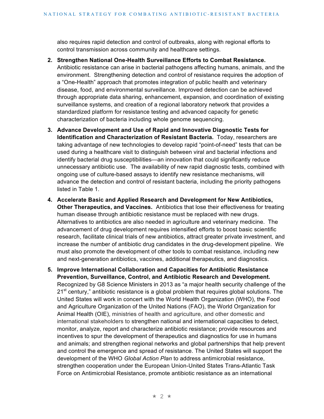also requires rapid detection and control of outbreaks, along with regional efforts to control transmission across community and healthcare settings.

- **2. Strengthen National One-Health Surveillance Efforts to Combat Resistance.** Antibiotic resistance can arise in bacterial pathogens affecting humans, animals, and the environment. Strengthening detection and control of resistance requires the adoption of a "One-Health" approach that promotes integration of public health and veterinary disease, food, and environmental surveillance. Improved detection can be achieved through appropriate data sharing, enhancement, expansion, and coordination of existing surveillance systems, and creation of a regional laboratory network that provides a standardized platform for resistance testing and advanced capacity for genetic characterization of bacteria including whole genome sequencing.
- **3. Advance Development and Use of Rapid and Innovative Diagnostic Tests for Identification and Characterization of Resistant Bacteria.** Today, researchers are taking advantage of new technologies to develop rapid "point-of-need" tests that can be used during a healthcare visit to distinguish between viral and bacterial infections and identify bacterial drug susceptibilities—an innovation that could significantly reduce unnecessary antibiotic use. The availability of new rapid diagnostic tests, combined with ongoing use of culture-based assays to identify new resistance mechanisms, will advance the detection and control of resistant bacteria, including the priority pathogens listed in Table 1.
- **4. Accelerate Basic and Applied Research and Development for New Antibiotics, Other Therapeutics, and Vaccines.** Antibiotics that lose their effectiveness for treating human disease through antibiotic resistance must be replaced with new drugs. Alternatives to antibiotics are also needed in agriculture and veterinary medicine. The advancement of drug development requires intensified efforts to boost basic scientific research, facilitate clinical trials of new antibiotics, attract greater private investment, and increase the number of antibiotic drug candidates in the drug-development pipeline. We must also promote the development of other tools to combat resistance, including new and next-generation antibiotics, vaccines, additional therapeutics, and diagnostics.
- **5. Improve International Collaboration and Capacities for Antibiotic Resistance Prevention, Surveillance, Control, and Antibiotic Research and Development.** Recognized by G8 Science Ministers in 2013 as "a major health security challenge of the  $21<sup>st</sup>$  century," antibiotic resistance is a global problem that requires global solutions. The United States will work in concert with the World Health Organization (WHO), the Food and Agriculture Organization of the United Nations (FAO), the World Organization for Animal Health (OIE), ministries of health and agriculture, and other domestic and international stakeholders to strengthen national and international capacities to detect, monitor, analyze, report and characterize antibiotic resistance; provide resources and incentives to spur the development of therapeutics and diagnostics for use in humans and animals; and strengthen regional networks and global partnerships that help prevent and control the emergence and spread of resistance. The United States will support the development of the WHO *Global Action Plan* to address antimicrobial resistance, strengthen cooperation under the European Union-United States Trans-Atlantic Task Force on Antimicrobial Resistance, promote antibiotic resistance as an international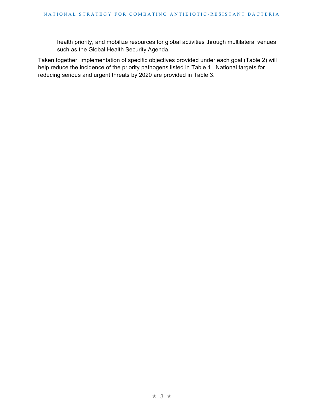health priority, and mobilize resources for global activities through multilateral venues such as the Global Health Security Agenda.

Taken together, implementation of specific objectives provided under each goal (Table 2) will help reduce the incidence of the priority pathogens listed in Table 1. National targets for reducing serious and urgent threats by 2020 are provided in Table 3.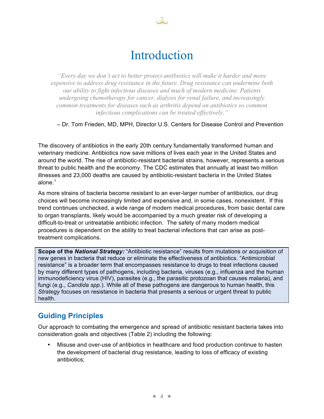# Introduction

*"Every day we don't act to better protect antibiotics will make it harder and more expensive to address drug resistance in the future. Drug resistance can undermine both our ability to fight infectious diseases and much of modern medicine. Patients undergoing chemotherapy for cancer, dialysis for renal failure, and increasingly common treatments for diseases such as arthritis depend on antibiotics so common infectious complications can be treated effectively."*

– Dr. Tom Frieden, MD, MPH, Director U.S. Centers for Disease Control and Prevention

The discovery of antibiotics in the early 20th century fundamentally transformed human and veterinary medicine. Antibiotics now save millions of lives each year in the United States and around the world. The rise of antibiotic-resistant bacterial strains, however, represents a serious threat to public health and the economy. The CDC estimates that annually at least two million illnesses and 23,000 deaths are caused by antibiotic-resistant bacteria in the United States alone $<sup>1</sup>$ </sup>

As more strains of bacteria become resistant to an ever-larger number of antibiotics, our drug choices will become increasingly limited and expensive and, in some cases, nonexistent. If this trend continues unchecked, a wide range of modern medical procedures, from basic dental care to organ transplants, likely would be accompanied by a much greater risk of developing a difficult-to-treat or untreatable antibiotic infection. The safety of many modern medical procedures is dependent on the ability to treat bacterial infections that can arise as posttreatment complications.

**Scope of the** *National Strategy:* "Antibiotic resistance" results from mutations or acquisition of new genes in bacteria that reduce or eliminate the effectiveness of antibiotics. "Antimicrobial resistance" is a broader term that encompasses resistance to drugs to treat infections caused by many different types of pathogens, including bacteria, viruses (e.g., influenza and the human immunodeficiency virus (HIV), parasites (e.g., the parasitic protozoan that causes malaria), and fungi (e.g., *Candida spp.*). While all of these pathogens are dangerous to human health, this *Strategy* focuses on resistance in bacteria that presents a serious or urgent threat to public health.

### **Guiding Principles**

Our approach to combating the emergence and spread of antibiotic resistant bacteria takes into consideration goals and objectives (Table 2) including the following:

• Misuse and over-use of antibiotics in healthcare and food production continue to hasten the development of bacterial drug resistance, leading to loss of efficacy of existing antibiotics;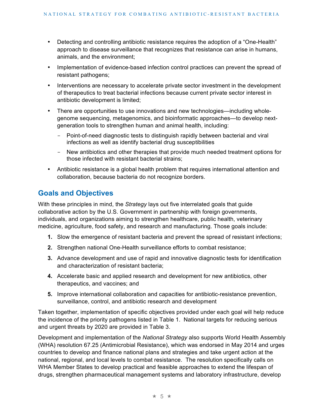- Detecting and controlling antibiotic resistance requires the adoption of a "One-Health" approach to disease surveillance that recognizes that resistance can arise in humans, animals, and the environment;
- Implementation of evidence-based infection control practices can prevent the spread of resistant pathogens;
- Interventions are necessary to accelerate private sector investment in the development of therapeutics to treat bacterial infections because current private sector interest in antibiotic development is limited;
- There are opportunities to use innovations and new technologies—including wholegenome sequencing, metagenomics, and bioinformatic approaches—to develop nextgeneration tools to strengthen human and animal health, including:
	- Point-of-need diagnostic tests to distinguish rapidly between bacterial and viral infections as well as identify bacterial drug susceptibilities
	- New antibiotics and other therapies that provide much needed treatment options for those infected with resistant bacterial strains;
- Antibiotic resistance is a global health problem that requires international attention and collaboration, because bacteria do not recognize borders.

### **Goals and Objectives**

With these principles in mind, the *Strategy* lays out five interrelated goals that guide collaborative action by the U.S. Government in partnership with foreign governments, individuals, and organizations aiming to strengthen healthcare, public health, veterinary medicine, agriculture, food safety, and research and manufacturing. Those goals include:

- **1.** Slow the emergence of resistant bacteria and prevent the spread of resistant infections;
- **2.** Strengthen national One-Health surveillance efforts to combat resistance;
- **3.** Advance development and use of rapid and innovative diagnostic tests for identification and characterization of resistant bacteria;
- **4.** Accelerate basic and applied research and development for new antibiotics, other therapeutics, and vaccines; and
- **5.** Improve international collaboration and capacities for antibiotic-resistance prevention, surveillance, control, and antibiotic research and development

Taken together, implementation of specific objectives provided under each goal will help reduce the incidence of the priority pathogens listed in Table 1. National targets for reducing serious and urgent threats by 2020 are provided in Table 3.

Development and implementation of the *National Strategy* also supports World Health Assembly (WHA) resolution 67.25 (Antimicrobial Resistance), which was endorsed in May 2014 and urges countries to develop and finance national plans and strategies and take urgent action at the national, regional, and local levels to combat resistance. The resolution specifically calls on WHA Member States to develop practical and feasible approaches to extend the lifespan of drugs, strengthen pharmaceutical management systems and laboratory infrastructure, develop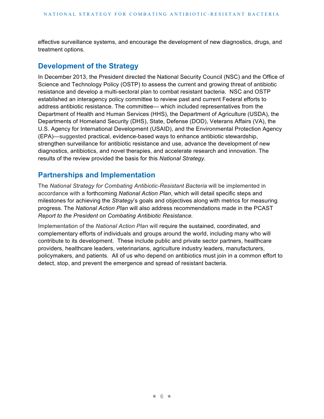effective surveillance systems, and encourage the development of new diagnostics, drugs, and treatment options.

### **Development of the Strategy**

In December 2013, the President directed the National Security Council (NSC) and the Office of Science and Technology Policy (OSTP) to assess the current and growing threat of antibiotic resistance and develop a multi-sectoral plan to combat resistant bacteria. NSC and OSTP established an interagency policy committee to review past and current Federal efforts to address antibiotic resistance. The committee— which included representatives from the Department of Health and Human Services (HHS), the Department of Agriculture (USDA), the Departments of Homeland Security (DHS), State, Defense (DOD), Veterans Affairs (VA), the U.S. Agency for International Development (USAID), and the Environmental Protection Agency (EPA)—suggested practical, evidence-based ways to enhance antibiotic stewardship, strengthen surveillance for antibiotic resistance and use, advance the development of new diagnostics, antibiotics, and novel therapies, and accelerate research and innovation. The results of the review provided the basis for this *National Strategy.*

### **Partnerships and Implementation**

The *National Strategy for Combating Antibiotic-Resistant Bacteria* will be implemented in accordance with a forthcoming *National Action Plan*, which will detail specific steps and milestones for achieving the *Strategy*'s goals and objectives along with metrics for measuring progress. The *National Action Plan* will also address recommendations made in the PCAST *Report to the President on Combating Antibiotic Resistance.* 

Implementation of the *National Action Plan* will require the sustained, coordinated, and complementary efforts of individuals and groups around the world, including many who will contribute to its development. These include public and private sector partners, healthcare providers, healthcare leaders, veterinarians, agriculture industry leaders, manufacturers, policymakers, and patients. All of us who depend on antibiotics must join in a common effort to detect, stop, and prevent the emergence and spread of resistant bacteria.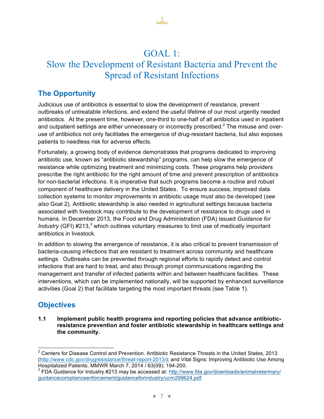## $G$  $O$  $A$  $I$ .  $1$  $\cdot$

## Slow the Development of Resistant Bacteria and Prevent the Spread of Resistant Infections

### **The Opportunity**

Judicious use of antibiotics is essential to slow the development of resistance, prevent outbreaks of untreatable infections, and extend the useful lifetime of our most urgently needed antibiotics. At the present time, however, one-third to one-half of all antibiotics used in inpatient and outpatient settings are either unnecessary or incorrectly prescribed.<sup>2</sup> The misuse and overuse of antibiotics not only facilitates the emergence of drug-resistant bacteria, but also exposes patients to needless risk for adverse effects.

Fortunately, a growing body of evidence demonstrates that programs dedicated to improving antibiotic use, known as "antibiotic stewardship" programs, can help slow the emergence of resistance while optimizing treatment and minimizing costs. These programs help providers prescribe the right antibiotic for the right amount of time and prevent prescription of antibiotics for non-bacterial infections. It is imperative that such programs become a routine and robust component of healthcare delivery in the United States. To ensure success, improved data collection systems to monitor improvements in antibiotic usage must also be developed (*see also* Goal 2). Antibiotic stewardship is also needed in agricultural settings because bacteria associated with livestock may contribute to the development of resistance to drugs used in humans. In December 2013, the Food and Drug Administration (FDA) issued *Guidance for Industry* (GFI) #213,<sup>3</sup> which outlines voluntary measures to limit use of medically important antibiotics in livestock.

In addition to slowing the emergence of resistance, it is also critical to prevent transmission of bacteria-causing infections that are resistant to treatment across community and healthcare settings. Outbreaks can be prevented through regional efforts to rapidly detect and control infections that are hard to treat, and also through prompt communications regarding the management and transfer of infected patients within and between healthcare facilities. These interventions, which can be implemented nationally, will be supported by enhanced surveillance activities (Goal 2) that facilitate targeting the most important threats (see Table 1).

### **Objectives**

**1.1 Implement public health programs and reporting policies that advance antibioticresistance prevention and foster antibiotic stewardship in healthcare settings and the community.**

 $2$  Centers for Disease Control and Prevention. Antibiotic Resistance Threats in the United States, 2013 (http://www.cdc.gov/drugresistance/threat-report-2013/); and Vital Signs: Improving Antibiotic Use Among<br>Hospitalized Patients. MMWR March 7, 2014 / 63(09); 194-200.

 $3$  FDA Guidance for Industry #213 may be accessed at: http://www.fda.gov/downloads/animalveterinary/ guidancecomplianceenforcement/guidanceforindustry/ucm299624.pdf.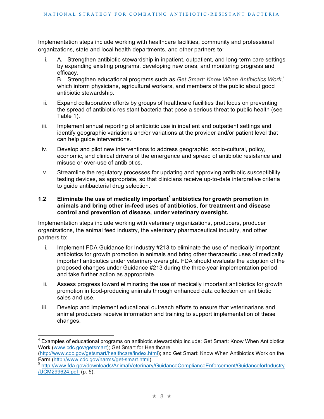Implementation steps include working with healthcare facilities, community and professional organizations, state and local health departments, and other partners to:

i. A.Strengthen antibiotic stewardship in inpatient, outpatient, and long-term care settings by expanding existing programs, developing new ones, and monitoring progress and efficacy.

B. Strengthen educational programs such as *Get Smart: Know When Antibiotics Work*, 4 which inform physicians, agricultural workers, and members of the public about good antibiotic stewardship.

- ii. Expand collaborative efforts by groups of healthcare facilities that focus on preventing the spread of antibiotic resistant bacteria that pose a serious threat to public health (see Table 1).
- iii. Implement annual reporting of antibiotic use in inpatient and outpatient settings and identify geographic variations and/or variations at the provider and/or patient level that can help guide interventions.
- iv. Develop and pilot new interventions to address geographic, socio-cultural, policy, economic, and clinical drivers of the emergence and spread of antibiotic resistance and misuse or over-use of antibiotics.
- v. Streamline the regulatory processes for updating and approving antibiotic susceptibility testing devices, as appropriate, so that clinicians receive up-to-date interpretive criteria to guide antibacterial drug selection.

#### **1.2 Eliminate the use of medically important<sup>5</sup> antibiotics for growth promotion in animals and bring other in-feed uses of antibiotics, for treatment and disease control and prevention of disease, under veterinary oversight.**

Implementation steps include working with veterinary organizations, producers, producer organizations, the animal feed industry, the veterinary pharmaceutical industry, and other partners to:

- i. Implement FDA Guidance for Industry #213 to eliminate the use of medically important antibiotics for growth promotion in animals and bring other therapeutic uses of medically important antibiotics under veterinary oversight. FDA should evaluate the adoption of the proposed changes under Guidance #213 during the three-year implementation period and take further action as appropriate.
- ii. Assess progress toward eliminating the use of medically important antibiotics for growth promotion in food-producing animals through enhanced data collection on antibiotic sales and use.
- iii. Develop and implement educational outreach efforts to ensure that veterinarians and animal producers receive information and training to support implementation of these changes.

 $4$  Examples of educational programs on antibiotic stewardship include: Get Smart: Know When Antibiotics Work (www.cdc.gov/getsmart); Get Smart for Healthcare

<sup>(</sup>http://www.cdc.gov/getsmart/healthcare/index.html); and Get Smart: Know When Antibiotics Work on the Farm (http://www.cdc.gov/narms/get-smart.html).<br><sup>5</sup> http://www.fda.gov/downloads/AnimalVeterinary/GuidanceComplianceEnforcement/GuidanceforIndustry

<sup>/</sup>UCM299624.pdf (p. 5).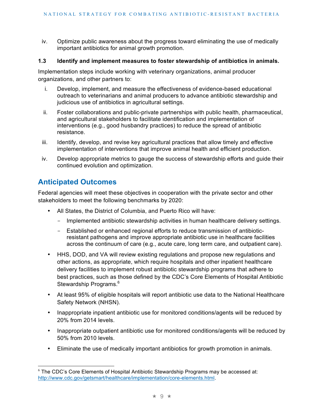iv. Optimize public awareness about the progress toward eliminating the use of medically important antibiotics for animal growth promotion.

#### **1.3 Identify and implement measures to foster stewardship of antibiotics in animals.**

Implementation steps include working with veterinary organizations, animal producer organizations, and other partners to:

- i. Develop, implement, and measure the effectiveness of evidence-based educational outreach to veterinarians and animal producers to advance antibiotic stewardship and judicious use of antibiotics in agricultural settings.
- ii. Foster collaborations and public-private partnerships with public health, pharmaceutical, and agricultural stakeholders to facilitate identification and implementation of interventions (e.g., good husbandry practices) to reduce the spread of antibiotic resistance.
- iii. Identify, develop, and revise key agricultural practices that allow timely and effective implementation of interventions that improve animal health and efficient production.
- iv. Develop appropriate metrics to gauge the success of stewardship efforts and guide their continued evolution and optimization.

### **Anticipated Outcomes**

 $\overline{a}$ 

Federal agencies will meet these objectives in cooperation with the private sector and other stakeholders to meet the following benchmarks by 2020:

- All States, the District of Columbia, and Puerto Rico will have:
	- Implemented antibiotic stewardship activities in human healthcare delivery settings.
	- Established or enhanced regional efforts to reduce transmission of antibioticresistant pathogens and improve appropriate antibiotic use in healthcare facilities across the continuum of care (e.g., acute care, long term care, and outpatient care).
- HHS, DOD, and VA will review existing regulations and propose new regulations and other actions, as appropriate, which require hospitals and other inpatient healthcare delivery facilities to implement robust antibiotic stewardship programs that adhere to best practices, such as those defined by the CDC's Core Elements of Hospital Antibiotic Stewardship Programs.<sup>6</sup>
- At least 95% of eligible hospitals will report antibiotic use data to the National Healthcare Safety Network (NHSN).
- Inappropriate inpatient antibiotic use for monitored conditions/agents will be reduced by 20% from 2014 levels.
- Inappropriate outpatient antibiotic use for monitored conditions/agents will be reduced by 50% from 2010 levels.
- Eliminate the use of medically important antibiotics for growth promotion in animals.

<sup>6</sup> The CDC's Core Elements of Hospital Antibiotic Stewardship Programs may be accessed at: http://www.cdc.gov/getsmart/healthcare/implementation/core-elements.html.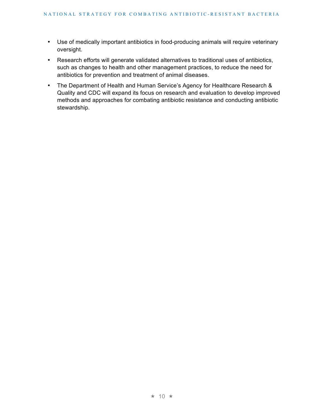- Use of medically important antibiotics in food-producing animals will require veterinary oversight.
- Research efforts will generate validated alternatives to traditional uses of antibiotics, such as changes to health and other management practices, to reduce the need for antibiotics for prevention and treatment of animal diseases.
- The Department of Health and Human Service's Agency for Healthcare Research & Quality and CDC will expand its focus on research and evaluation to develop improved methods and approaches for combating antibiotic resistance and conducting antibiotic stewardship.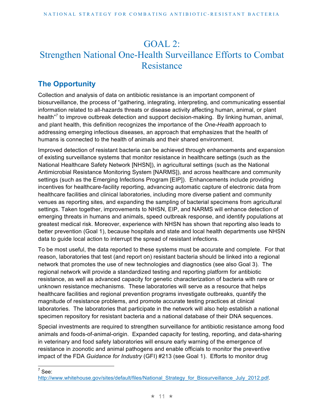## $GOAL 2$ Strengthen National One-Health Surveillance Efforts to Combat Resistance

### **The Opportunity**

Collection and analysis of data on antibiotic resistance is an important component of biosurveillance, the process of "gathering, integrating, interpreting, and communicating essential information related to all-hazards threats or disease activity affecting human, animal, or plant health<sup>"7</sup> to improve outbreak detection and support decision-making. By linking human, animal, and plant health, this definition recognizes the importance of the *One-Health* approach to addressing emerging infectious diseases, an approach that emphasizes that the health of humans is connected to the health of animals and their shared environment.

Improved detection of resistant bacteria can be achieved through enhancements and expansion of existing surveillance systems that monitor resistance in healthcare settings (such as the National Healthcare Safety Network [NHSN]), in agricultural settings (such as the National Antimicrobial Resistance Monitoring System [NARMS]), and across healthcare and community settings (such as the Emerging Infections Program [EIP]). Enhancements include providing incentives for healthcare-facility reporting, advancing automatic capture of electronic data from healthcare facilities and clinical laboratories, including more diverse patient and community venues as reporting sites, and expanding the sampling of bacterial specimens from agricultural settings. Taken together, improvements to NHSN, EIP, and NARMS will enhance detection of emerging threats in humans and animals, speed outbreak response, and identify populations at greatest medical risk. Moreover, experience with NHSN has shown that reporting also leads to better prevention (Goal 1), because hospitals and state and local health departments use NHSN data to guide local action to interrupt the spread of resistant infections.

To be most useful, the data reported to these systems must be accurate and complete. For that reason, laboratories that test (and report on) resistant bacteria should be linked into a regional network that promotes the use of new technologies and diagnostics (see also Goal 3). The regional network will provide a standardized testing and reporting platform for antibiotic resistance, as well as advanced capacity for genetic characterization of bacteria with rare or unknown resistance mechanisms. These laboratories will serve as a resource that helps healthcare facilities and regional prevention programs investigate outbreaks, quantify the magnitude of resistance problems, and promote accurate testing practices at clinical laboratories. The laboratories that participate in the network will also help establish a national specimen repository for resistant bacteria and a national database of their DNA sequences.

Special investments are required to strengthen surveillance for antibiotic resistance among food animals and foods-of-animal-origin. Expanded capacity for testing, reporting, and data-sharing in veterinary and food safety laboratories will ensure early warning of the emergence of resistance in zoonotic and animal pathogens and enable officials to monitor the preventive impact of the FDA *Guidance for Industry* (GFI) #213 (see Goal 1). Efforts to monitor drug

 $<sup>7</sup>$  See:</sup>

http://www.whitehouse.gov/sites/default/files/National\_Strategy\_for\_Biosurveillance\_July\_2012.pdf.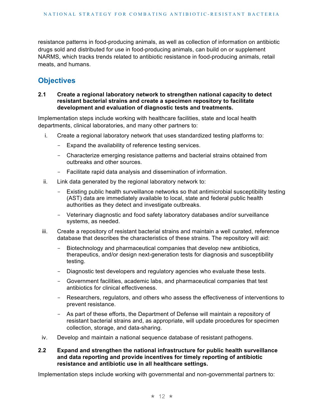resistance patterns in food-producing animals, as well as collection of information on antibiotic drugs sold and distributed for use in food-producing animals, can build on or supplement NARMS, which tracks trends related to antibiotic resistance in food-producing animals, retail meats, and humans.

### **Objectives**

#### **2.1 Create a regional laboratory network to strengthen national capacity to detect resistant bacterial strains and create a specimen repository to facilitate development and evaluation of diagnostic tests and treatments.**

Implementation steps include working with healthcare facilities, state and local health departments, clinical laboratories, and many other partners to:

- i. Create a regional laboratory network that uses standardized testing platforms to:
	- Expand the availability of reference testing services.
	- Characterize emerging resistance patterns and bacterial strains obtained from outbreaks and other sources.
	- Facilitate rapid data analysis and dissemination of information.
- ii. Link data generated by the regional laboratory network to:
	- Existing public health surveillance networks so that antimicrobial susceptibility testing (AST) data are immediately available to local, state and federal public health authorities as they detect and investigate outbreaks.
	- Veterinary diagnostic and food safety laboratory databases and/or surveillance systems, as needed.
- iii. Create a repository of resistant bacterial strains and maintain a well curated, reference database that describes the characteristics of these strains. The repository will aid:
	- Biotechnology and pharmaceutical companies that develop new antibiotics, therapeutics, and/or design next-generation tests for diagnosis and susceptibility testing.
	- Diagnostic test developers and regulatory agencies who evaluate these tests.
	- Government facilities, academic labs, and pharmaceutical companies that test antibiotics for clinical effectiveness.
	- Researchers, regulators, and others who assess the effectiveness of interventions to prevent resistance.
	- As part of these efforts, the Department of Defense will maintain a repository of resistant bacterial strains and, as appropriate, will update procedures for specimen collection, storage, and data-sharing.
- iv. Develop and maintain a national sequence database of resistant pathogens.

#### **2.2 Expand and strengthen the national infrastructure for public health surveillance and data reporting and provide incentives for timely reporting of antibiotic resistance and antibiotic use in all healthcare settings.**

Implementation steps include working with governmental and non-governmental partners to: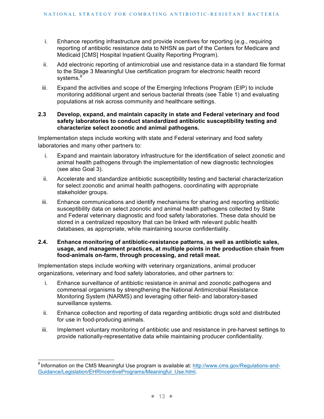- i. Enhance reporting infrastructure and provide incentives for reporting (e.g., requiring reporting of antibiotic resistance data to NHSN as part of the Centers for Medicare and Medicaid [CMS] Hospital Inpatient Quality Reporting Program).
- ii. Add electronic reporting of antimicrobial use and resistance data in a standard file format to the Stage 3 Meaningful Use certification program for electronic health record systems.<sup>8</sup>
- iii. Expand the activities and scope of the Emerging Infections Program (EIP) to include monitoring additional urgent and serious bacterial threats (see Table 1) and evaluating populations at risk across community and healthcare settings.

#### **2.3 Develop, expand, and maintain capacity in state and Federal veterinary and food safety laboratories to conduct standardized antibiotic susceptibility testing and characterize select zoonotic and animal pathogens.**

Implementation steps include working with state and Federal veterinary and food safety laboratories and many other partners to:

- i. Expand and maintain laboratory infrastructure for the identification of select zoonotic and animal health pathogens through the implementation of new diagnostic technologies (see also Goal 3).
- ii. Accelerate and standardize antibiotic susceptibility testing and bacterial characterization for select zoonotic and animal health pathogens, coordinating with appropriate stakeholder groups.
- iii. Enhance communications and identify mechanisms for sharing and reporting antibiotic susceptibility data on select zoonotic and animal health pathogens collected by State and Federal veterinary diagnostic and food safety laboratories. These data should be stored in a centralized repository that can be linked with relevant public health databases, as appropriate, while maintaining source confidentiality.

#### **2.4. Enhance monitoring of antibiotic-resistance patterns, as well as antibiotic sales, usage, and management practices, at multiple points in the production chain from food-animals on-farm, through processing, and retail meat.**

Implementation steps include working with veterinary organizations, animal producer organizations, veterinary and food safety laboratories, and other partners to:

- i. Enhance surveillance of antibiotic resistance in animal and zoonotic pathogens and commensal organisms by strengthening the National Antimicrobial Resistance Monitoring System (NARMS) and leveraging other field- and laboratory-based surveillance systems.
- ii. Enhance collection and reporting of data regarding antibiotic drugs sold and distributed for use in food-producing animals.
- iii. Implement voluntary monitoring of antibiotic use and resistance in pre-harvest settings to provide nationally-representative data while maintaining producer confidentiality.

<sup>&</sup>lt;sup>8</sup> Information on the CMS Meaningful Use program is available at: http://www.cms.gov/Regulations-and-Guidance/Legislation/EHRIncentivePrograms/Meaningful\_Use.html.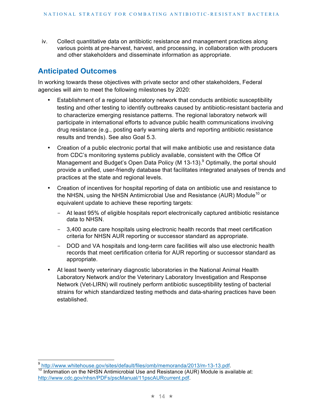iv. Collect quantitative data on antibiotic resistance and management practices along various points at pre-harvest, harvest, and processing, in collaboration with producers and other stakeholders and disseminate information as appropriate.

### **Anticipated Outcomes**

In working towards these objectives with private sector and other stakeholders, Federal agencies will aim to meet the following milestones by 2020:

- Establishment of a regional laboratory network that conducts antibiotic susceptibility testing and other testing to identify outbreaks caused by antibiotic-resistant bacteria and to characterize emerging resistance patterns. The regional laboratory network will participate in international efforts to advance public health communications involving drug resistance (e.g., posting early warning alerts and reporting antibiotic resistance results and trends). See also Goal 5.3.
- Creation of a public electronic portal that will make antibiotic use and resistance data from CDC's monitoring systems publicly available, consistent with the Office Of Management and Budget's Open Data Policy (M 13-13).<sup>9</sup> Optimally, the portal should provide a unified, user-friendly database that facilitates integrated analyses of trends and practices at the state and regional levels.
- Creation of incentives for hospital reporting of data on antibiotic use and resistance to the NHSN, using the NHSN Antimicrobial Use and Resistance (AUR) Module<sup>10</sup> or equivalent update to achieve these reporting targets:
	- At least 95% of eligible hospitals report electronically captured antibiotic resistance data to NHSN.
	- 3,400 acute care hospitals using electronic health records that meet certification criteria for NHSN AUR reporting or successor standard as appropriate.
	- DOD and VA hospitals and long-term care facilities will also use electronic health records that meet certification criteria for AUR reporting or successor standard as appropriate.
- At least twenty veterinary diagnostic laboratories in the National Animal Health Laboratory Network and/or the Veterinary Laboratory Investigation and Response Network (Vet-LIRN) will routinely perform antibiotic susceptibility testing of bacterial strains for which standardized testing methods and data-sharing practices have been established.

 $\frac{9}{10}$  http://www.whitehouse.gov/sites/default/files/omb/memoranda/2013/m-13-13.pdf.<br> $\frac{10}{10}$  Information on the NHSN Antimicrobial Use and Resistance (AUR) Module is available at: http://www.cdc.gov/nhsn/PDFs/pscManual/11pscAURcurrent.pdf.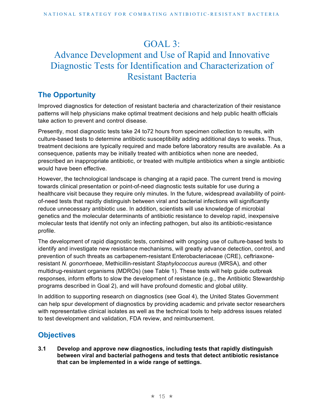## $GOAL 3$ .

## Advance Development and Use of Rapid and Innovative Diagnostic Tests for Identification and Characterization of Resistant Bacteria

## **The Opportunity**

Improved diagnostics for detection of resistant bacteria and characterization of their resistance patterns will help physicians make optimal treatment decisions and help public health officials take action to prevent and control disease.

Presently, most diagnostic tests take 24 to72 hours from specimen collection to results, with culture-based tests to determine antibiotic susceptibility adding additional days to weeks. Thus, treatment decisions are typically required and made before laboratory results are available. As a consequence, patients may be initially treated with antibiotics when none are needed, prescribed an inappropriate antibiotic, or treated with multiple antibiotics when a single antibiotic would have been effective.

However, the technological landscape is changing at a rapid pace. The current trend is moving towards clinical presentation or point-of-need diagnostic tests suitable for use during a healthcare visit because they require only minutes. In the future, widespread availability of pointof-need tests that rapidly distinguish between viral and bacterial infections will significantly reduce unnecessary antibiotic use. In addition, scientists will use knowledge of microbial genetics and the molecular determinants of antibiotic resistance to develop rapid, inexpensive molecular tests that identify not only an infecting pathogen, but also its antibiotic-resistance profile.

The development of rapid diagnostic tests, combined with ongoing use of culture-based tests to identify and investigate new resistance mechanisms, will greatly advance detection, control, and prevention of such threats as carbapenem-resistant Enterobacteriaceae (CRE), ceftriaxoneresistant *N. gonorrhoeae*, Methicillin-resistant *Staphylococcus aureus* (MRSA), and other multidrug-resistant organisms (MDROs) (see Table 1). These tests will help guide outbreak responses, inform efforts to slow the development of resistance (e.g., the Antibiotic Stewardship programs described in Goal 2), and will have profound domestic and global utility.

In addition to supporting research on diagnostics (see Goal 4), the United States Government can help spur development of diagnostics by providing academic and private sector researchers with representative clinical isolates as well as the technical tools to help address issues related to test development and validation, FDA review, and reimbursement.

## **Objectives**

**3.1 Develop and approve new diagnostics, including tests that rapidly distinguish between viral and bacterial pathogens and tests that detect antibiotic resistance that can be implemented in a wide range of settings.**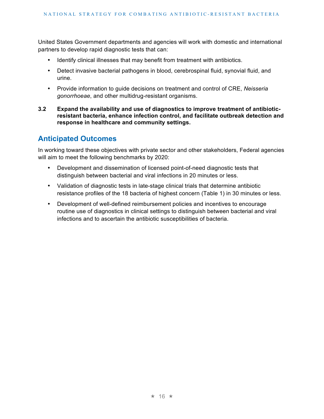United States Government departments and agencies will work with domestic and international partners to develop rapid diagnostic tests that can:

- Identify clinical illnesses that may benefit from treatment with antibiotics.
- Detect invasive bacterial pathogens in blood, cerebrospinal fluid, synovial fluid, and urine.
- Provide information to guide decisions on treatment and control of CRE, *Neisseria gonorrhoeae*, and other multidrug-resistant organisms.
- **3.2 Expand the availability and use of diagnostics to improve treatment of antibioticresistant bacteria, enhance infection control, and facilitate outbreak detection and response in healthcare and community settings.**

### **Anticipated Outcomes**

In working toward these objectives with private sector and other stakeholders, Federal agencies will aim to meet the following benchmarks by 2020:

- Development and dissemination of licensed point-of-need diagnostic tests that distinguish between bacterial and viral infections in 20 minutes or less.
- Validation of diagnostic tests in late-stage clinical trials that determine antibiotic resistance profiles of the 18 bacteria of highest concern (Table 1) in 30 minutes or less.
- Development of well-defined reimbursement policies and incentives to encourage routine use of diagnostics in clinical settings to distinguish between bacterial and viral infections and to ascertain the antibiotic susceptibilities of bacteria.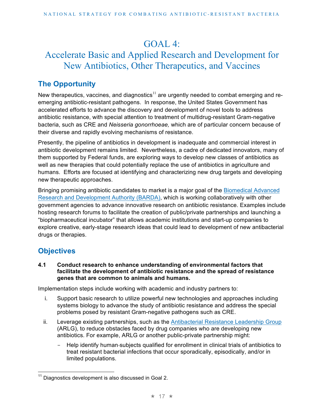## $GOAL4$

## Accelerate Basic and Applied Research and Development for New Antibiotics, Other Therapeutics, and Vaccines

## **The Opportunity**

New therapeutics, vaccines, and diagnostics<sup>11</sup> are urgently needed to combat emerging and reemerging antibiotic-resistant pathogens. In response, the United States Government has accelerated efforts to advance the discovery and development of novel tools to address antibiotic resistance, with special attention to treatment of multidrug-resistant Gram-negative bacteria, such as CRE and *Neisseria gonorrhoeae,* which are of particular concern because of their diverse and rapidly evolving mechanisms of resistance.

Presently, the pipeline of antibiotics in development is inadequate and commercial interest in antibiotic development remains limited. Nevertheless, a cadre of dedicated innovators, many of them supported by Federal funds, are exploring ways to develop new classes of antibiotics as well as new therapies that could potentially replace the use of antibiotics in agriculture and humans. Efforts are focused at identifying and characterizing new drug targets and developing new therapeutic approaches.

Bringing promising antibiotic candidates to market is a major goal of the Biomedical Advanced Research and Development Authority (BARDA), which is working collaboratively with other government agencies to advance innovative research on antibiotic resistance. Examples include hosting research forums to facilitate the creation of public/private partnerships and launching a "biopharmaceutical incubator" that allows academic institutions and start-up companies to explore creative, early-stage research ideas that could lead to development of new antibacterial drugs or therapies.

## **Objectives**

**4.1 Conduct research to enhance understanding of environmental factors that facilitate the development of antibiotic resistance and the spread of resistance genes that are common to animals and humans.**

Implementation steps include working with academic and industry partners to:

- i. Support basic research to utilize powerful new technologies and approaches including systems biology to advance the study of antibiotic resistance and address the special problems posed by resistant Gram-negative pathogens such as CRE.
- ii. Leverage existing partnerships, such as the Antibacterial Resistance Leadership Group (ARLG), to reduce obstacles faced by drug companies who are developing new antibiotics. For example, ARLG or another public-private partnership might:
	- Help identify human subjects qualified for enrollment in clinical trials of antibiotics to treat resistant bacterial infections that occur sporadically, episodically, and/or in limited populations.

Diagnostics development is also discussed in Goal 2.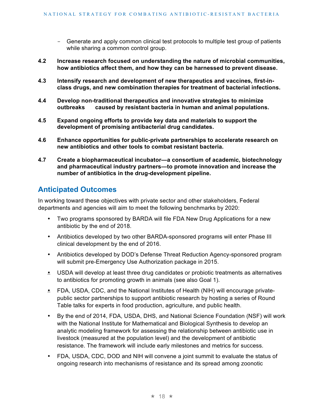- Generate and apply common clinical test protocols to multiple test group of patients while sharing a common control group.
- **4.2 Increase research focused on understanding the nature of microbial communities, how antibiotics affect them, and how they can be harnessed to prevent disease.**
- **4.3 Intensify research and development of new therapeutics and vaccines, first-inclass drugs, and new combination therapies for treatment of bacterial infections.**
- **4.4 Develop non-traditional therapeutics and innovative strategies to minimize outbreaks caused by resistant bacteria in human and animal populations.**
- **4.5 Expand ongoing efforts to provide key data and materials to support the development of promising antibacterial drug candidates.**
- **4.6 Enhance opportunities for public-private partnerships to accelerate research on new antibiotics and other tools to combat resistant bacteria.**
- **4.7 Create a biopharmaceutical incubator—a consortium of academic, biotechnology and pharmaceutical industry partners—to promote innovation and increase the number of antibiotics in the drug-development pipeline.**

### **Anticipated Outcomes**

In working toward these objectives with private sector and other stakeholders, Federal departments and agencies will aim to meet the following benchmarks by 2020:

- Two programs sponsored by BARDA will file FDA New Drug Applications for a new antibiotic by the end of 2018.
- Antibiotics developed by two other BARDA-sponsored programs will enter Phase III clinical development by the end of 2016.
- Antibiotics developed by DOD's Defense Threat Reduction Agency-sponsored program will submit pre-Emergency Use Authorization package in 2015.
- USDA will develop at least three drug candidates or probiotic treatments as alternatives to antibiotics for promoting growth in animals (see also Goal 1).
- FDA, USDA, CDC, and the National Institutes of Health (NIH) will encourage privatepublic sector partnerships to support antibiotic research by hosting a series of Round Table talks for experts in food production, agriculture, and public health.
- By the end of 2014, FDA, USDA, DHS, and National Science Foundation (NSF) will work with the National Institute for Mathematical and Biological Synthesis to develop an analytic modeling framework for assessing the relationship between antibiotic use in livestock (measured at the population level) and the development of antibiotic resistance. The framework will include early milestones and metrics for success.
- FDA, USDA, CDC, DOD and NIH will convene a joint summit to evaluate the status of ongoing research into mechanisms of resistance and its spread among zoonotic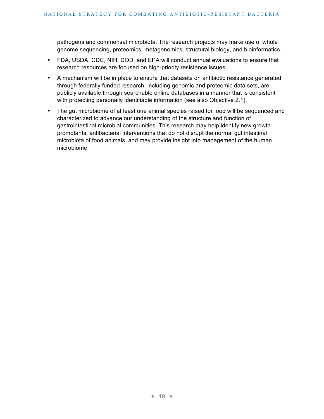pathogens and commensal microbiota. The research projects may make use of whole genome sequencing, proteomics, metagenomics, structural biology, and bioinformatics.

- FDA, USDA, CDC, NIH, DOD, and EPA will conduct annual evaluations to ensure that research resources are focused on high-priority resistance issues.
- A mechanism will be in place to ensure that datasets on antibiotic resistance generated through federally funded research, including genomic and proteomic data sets, are publicly available through searchable online databases in a manner that is consistent with protecting personally identifiable information (see also Objective 2.1).
- The gut microbiome of at least one animal species raised for food will be sequenced and characterized to advance our understanding of the structure and function of gastrointestinal microbial communities. This research may help identify new growth promotants, antibacterial interventions that do not disrupt the normal gut intestinal microbiota of food animals, and may provide insight into management of the human microbiome.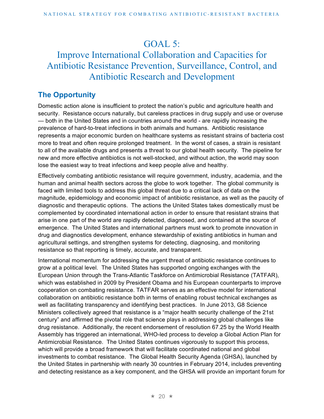## $GOAL 5$ <sup>.</sup>

## Improve International Collaboration and Capacities for Antibiotic Resistance Prevention, Surveillance, Control, and Antibiotic Research and Development

### **The Opportunity**

Domestic action alone is insufficient to protect the nation's public and agriculture health and security. Resistance occurs naturally, but careless practices in drug supply and use or overuse — both in the United States and in countries around the world - are rapidly increasing the prevalence of hard-to-treat infections in both animals and humans. Antibiotic resistance represents a major economic burden on healthcare systems as resistant strains of bacteria cost more to treat and often require prolonged treatment. In the worst of cases, a strain is resistant to all of the available drugs and presents a threat to our global health security. The pipeline for new and more effective antibiotics is not well-stocked, and without action, the world may soon lose the easiest way to treat infections and keep people alive and healthy.

Effectively combating antibiotic resistance will require government, industry, academia, and the human and animal health sectors across the globe to work together. The global community is faced with limited tools to address this global threat due to a critical lack of data on the magnitude, epidemiology and economic impact of antibiotic resistance, as well as the paucity of diagnostic and therapeutic options. The actions the United States takes domestically must be complemented by coordinated international action in order to ensure that resistant strains that arise in one part of the world are rapidly detected, diagnosed, and contained at the source of emergence. The United States and international partners must work to promote innovation in drug and diagnostics development, enhance stewardship of existing antibiotics in human and agricultural settings, and strengthen systems for detecting, diagnosing, and monitoring resistance so that reporting is timely, accurate, and transparent.

International momentum for addressing the urgent threat of antibiotic resistance continues to grow at a political level. The United States has supported ongoing exchanges with the European Union through the Trans-Atlantic Taskforce on Antimicrobial Resistance (TATFAR), which was established in 2009 by President Obama and his European counterparts to improve cooperation on combating resistance. TATFAR serves as an effective model for international collaboration on antibiotic resistance both in terms of enabling robust technical exchanges as well as facilitating transparency and identifying best practices. In June 2013, G8 Science Ministers collectively agreed that resistance is a "major health security challenge of the 21st century" and affirmed the pivotal role that science plays in addressing global challenges like drug resistance. Additionally, the recent endorsement of resolution 67.25 by the World Health Assembly has triggered an international, WHO-led process to develop a Global Action Plan for Antimicrobial Resistance. The United States continues vigorously to support this process, which will provide a broad framework that will facilitate coordinated national and global investments to combat resistance. The Global Health Security Agenda (GHSA), launched by the United States in partnership with nearly 30 countries in February 2014, includes preventing and detecting resistance as a key component, and the GHSA will provide an important forum for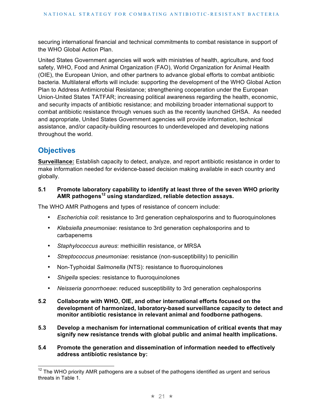securing international financial and technical commitments to combat resistance in support of the WHO Global Action Plan.

United States Government agencies will work with ministries of health, agriculture, and food safety, WHO, Food and Animal Organization (FAO), World Organization for Animal Health (OIE), the European Union, and other partners to advance global efforts to combat antibiotic bacteria. Multilateral efforts will include: supporting the development of the WHO Global Action Plan to Address Antimicrobial Resistance; strengthening cooperation under the European Union-United States TATFAR; increasing political awareness regarding the health, economic, and security impacts of antibiotic resistance; and mobilizing broader international support to combat antibiotic resistance through venues such as the recently launched GHSA. As needed and appropriate, United States Government agencies will provide information, technical assistance, and/or capacity-building resources to underdeveloped and developing nations throughout the world.

## **Objectives**

**Surveillance:** Establish capacity to detect, analyze, and report antibiotic resistance in order to make information needed for evidence-based decision making available in each country and globally.

#### **5.1 Promote laboratory capability to identify at least three of the seven WHO priority AMR pathogens<sup>12</sup> using standardized, reliable detection assays.**

The WHO AMR Pathogens and types of resistance of concern include:

- *Escherichia coli*: resistance to 3rd generation cephalosporins and to fluoroquinolones
- *Klebsiella pneumoniae*: resistance to 3rd generation cephalosporins and to carbapenems
- *Staphylococcus aureus*: methicillin resistance, or MRSA
- *Streptococcus pneumoniae*: resistance (non-susceptibility) to penicillin
- Non-Typhoidal *Salmonella* (NTS): resistance to fluoroquinolones
- *Shigella* species: resistance to fluoroquinolones
- *Neisseria gonorrhoeae*: reduced susceptibility to 3rd generation cephalosporins
- **5.2 Collaborate with WHO, OIE, and other international efforts focused on the development of harmonized, laboratory-based surveillance capacity to detect and monitor antibiotic resistance in relevant animal and foodborne pathogens.**
- **5.3 Develop a mechanism for international communication of critical events that may signify new resistance trends with global public and animal health implications.**
- **5.4 Promote the generation and dissemination of information needed to effectively address antibiotic resistance by:**

 $12$  The WHO priority AMR pathogens are a subset of the pathogens identified as urgent and serious threats in Table 1.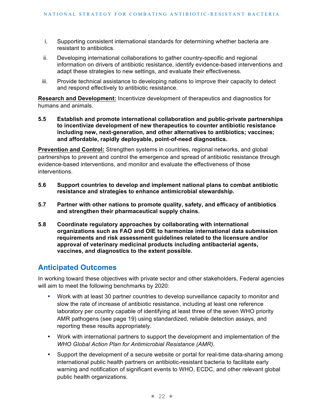- i. Supporting consistent international standards for determining whether bacteria are resistant to antibiotics.
- ii. Developing international collaborations to gather country-specific and regional information on drivers of antibiotic resistance, identify evidence-based interventions and adapt these strategies to new settings, and evaluate their effectiveness.
- iii. Provide technical assistance to developing nations to improve their capacity to detect and respond effectively to antibiotic resistance.

**Research and Development:** Incentivize development of therapeutics and diagnostics for humans and animals.

**5.5 Establish and promote international collaboration and public-private partnerships to incentivize development of new therapeutics to counter antibiotic resistance including new, next-generation, and other alternatives to antibiotics; vaccines; and affordable, rapidly deployable, point-of-need diagnostics.**

**Prevention and Control:** Strengthen systems in countries, regional networks, and global partnerships to prevent and control the emergence and spread of antibiotic resistance through evidence-based interventions, and monitor and evaluate the effectiveness of those interventions.

- **5.6 Support countries to develop and implement national plans to combat antibiotic resistance and strategies to enhance antimicrobial stewardship.**
- **5.7 Partner with other nations to promote quality, safety, and efficacy of antibiotics and strengthen their pharmaceutical supply chains.**
- **5.8 Coordinate regulatory approaches by collaborating with international organizations such as FAO and OIE to harmonize international data submission requirements and risk assessment guidelines related to the licensure and/or approval of veterinary medicinal products including antibacterial agents, vaccines, and diagnostics to the extent possible.**

### **Anticipated Outcomes**

In working toward these objectives with private sector and other stakeholders, Federal agencies will aim to meet the following benchmarks by 2020:

- Work with at least 30 partner countries to develop surveillance capacity to monitor and slow the rate of increase of antibiotic resistance, including at least one reference laboratory per country capable of identifying at least three of the seven WHO priority AMR pathogens (see page 19) using standardized, reliable detection assays, and reporting these results appropriately.
- Work with international partners to support the development and implementation of the *WHO Global Action Plan for Antimicrobial Resistance (AMR)*.
- Support the development of a secure website or portal for real-time data-sharing among international public health partners on antibiotic-resistant bacteria to facilitate early warning and notification of significant events to WHO, ECDC, and other relevant global public health organizations.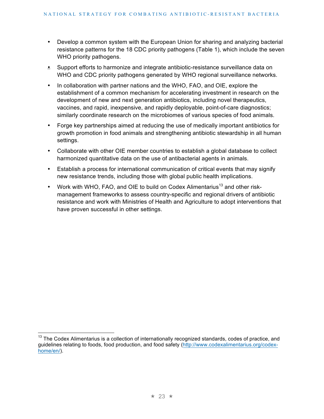- Develop a common system with the European Union for sharing and analyzing bacterial resistance patterns for the 18 CDC priority pathogens (Table 1), which include the seven WHO priority pathogens.
- **•** Support efforts to harmonize and integrate antibiotic-resistance surveillance data on WHO and CDC priority pathogens generated by WHO regional surveillance networks.
- In collaboration with partner nations and the WHO, FAO, and OIE, explore the establishment of a common mechanism for accelerating investment in research on the development of new and next generation antibiotics, including novel therapeutics, vaccines, and rapid, inexpensive, and rapidly deployable, point-of-care diagnostics; similarly coordinate research on the microbiomes of various species of food animals.
- Forge key partnerships aimed at reducing the use of medically important antibiotics for growth promotion in food animals and strengthening antibiotic stewardship in all human settings.
- Collaborate with other OIE member countries to establish a global database to collect harmonized quantitative data on the use of antibacterial agents in animals.
- Establish a process for international communication of critical events that may signify new resistance trends, including those with global public health implications.
- Work with WHO, FAO, and OIE to build on Codex Alimentarius<sup>13</sup> and other riskmanagement frameworks to assess country-specific and regional drivers of antibiotic resistance and work with Ministries of Health and Agriculture to adopt interventions that have proven successful in other settings.

<sup>&</sup>lt;sup>13</sup> The Codex Alimentarius is a collection of internationally recognized standards, codes of practice, and guidelines relating to foods, food production, and food safety (http://www.codexalimentarius.org/codexhome/en/).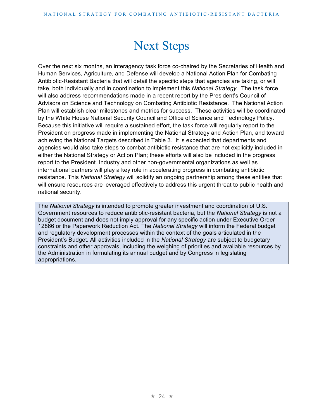# Next Steps

Over the next six months, an interagency task force co-chaired by the Secretaries of Health and Human Services, Agriculture, and Defense will develop a National Action Plan for Combating Antibiotic-Resistant Bacteria that will detail the specific steps that agencies are taking, or will take, both individually and in coordination to implement this *National Strategy*. The task force will also address recommendations made in a recent report by the President's Council of Advisors on Science and Technology on Combating Antibiotic Resistance. The National Action Plan will establish clear milestones and metrics for success. These activities will be coordinated by the White House National Security Council and Office of Science and Technology Policy. Because this initiative will require a sustained effort, the task force will regularly report to the President on progress made in implementing the National Strategy and Action Plan, and toward achieving the National Targets described in Table 3. It is expected that departments and agencies would also take steps to combat antibiotic resistance that are not explicitly included in either the National Strategy or Action Plan; these efforts will also be included in the progress report to the President. Industry and other non-governmental organizations as well as international partners will play a key role in accelerating progress in combating antibiotic resistance. This *National Strategy* will solidify an ongoing partnership among these entities that will ensure resources are leveraged effectively to address this urgent threat to public health and national security.

The *National Strategy* is intended to promote greater investment and coordination of U.S. Government resources to reduce antibiotic-resistant bacteria, but the *National Strategy* is not a budget document and does not imply approval for any specific action under Executive Order 12866 or the Paperwork Reduction Act. The *National Strategy* will inform the Federal budget and regulatory development processes within the context of the goals articulated in the President's Budget. All activities included in the *National Strategy* are subject to budgetary constraints and other approvals, including the weighing of priorities and available resources by the Administration in formulating its annual budget and by Congress in legislating appropriations.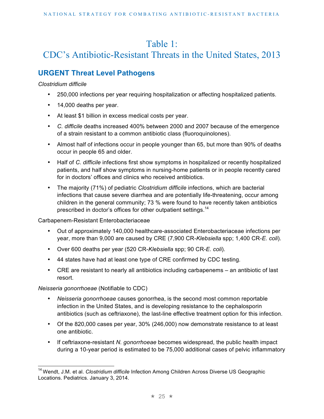## Table 1:

## CDC's Antibiotic-Resistant Threats in the United States, 2013

## **URGENT Threat Level Pathogens**

### *Clostridium difficile*

- 250,000 infections per year requiring hospitalization or affecting hospitalized patients.
- 14,000 deaths per year.
- At least \$1 billion in excess medical costs per year.
- *C. difficile* deaths increased 400% between 2000 and 2007 because of the emergence of a strain resistant to a common antibiotic class (fluoroquinolones).
- Almost half of infections occur in people younger than 65, but more than 90% of deaths occur in people 65 and older.
- Half of *C. difficile* infections first show symptoms in hospitalized or recently hospitalized patients, and half show symptoms in nursing-home patients or in people recently cared for in doctors' offices and clinics who received antibiotics.
- The majority (71%) of pediatric *Clostridium difficile* infections, which are bacterial infections that cause severe diarrhea and are potentially life-threatening, occur among children in the general community; 73 % were found to have recently taken antibiotics prescribed in doctor's offices for other outpatient settings.<sup>14</sup>

Carbapenem-Resistant Enterobacteriaceae

- Out of approximately 140,000 healthcare-associated Enterobacteriaceae infections per year, more than 9,000 are caused by CRE (7,900 CR-*Klebsiella* spp; 1,400 CR-*E. coli*).
- Over 600 deaths per year (520 CR-*Klebsiella* spp; 90 CR-*E. coli*).
- 44 states have had at least one type of CRE confirmed by CDC testing.
- CRE are resistant to nearly all antibiotics including carbapenems an antibiotic of last resort.

*Neisseria gonorrhoeae* (Notifiable to CDC)

- *Neisseria gonorrhoeae* causes gonorrhea, is the second most common reportable infection in the United States, and is developing resistance to the cephalosporin antibiotics (such as ceftriaxone), the last-line effective treatment option for this infection.
- Of the 820,000 cases per year, 30% (246,000) now demonstrate resistance to at least one antibiotic.
- If ceftriaxone-resistant *N. gonorrhoeae* becomes widespread, the public health impact during a 10-year period is estimated to be 75,000 additional cases of pelvic inflammatory

<sup>&</sup>lt;sup>14</sup> Wendt. J.M. et al. *Clostridium difficile* Infection Among Children Across Diverse US Geographic Locations. Pediatrics. January 3, 2014.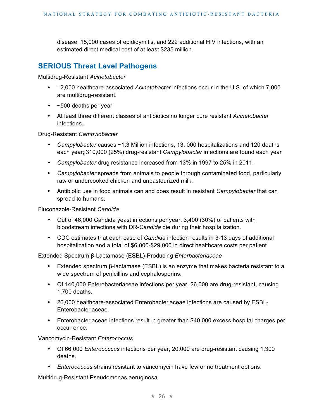disease, 15,000 cases of epididymitis, and 222 additional HIV infections, with an estimated direct medical cost of at least \$235 million.

### **SERIOUS Threat Level Pathogens**

Multidrug-Resistant *Acinetobacter*

- 12,000 healthcare-associated *Acinetobacter* infections occur in the U.S. of which 7,000 are multidrug-resistant.
- ~500 deaths per year
- At least three different classes of antibiotics no longer cure resistant *Acinetobacter* infections.

Drug-Resistant *Campylobacter*

- *Campylobacter* causes ~1.3 Million infections, 13, 000 hospitalizations and 120 deaths each year; 310,000 (25%) drug-resistant *Campylobacter* infections are found each year
- *Campylobacter* drug resistance increased from 13% in 1997 to 25% in 2011.
- *Campylobacter* spreads from animals to people through contaminated food, particularly raw or undercooked chicken and unpasteurized milk.
- Antibiotic use in food animals can and does result in resistant *Campylobacter* that can spread to humans.

Fluconazole-Resistant *Candida*

- Out of 46,000 Candida yeast infections per year, 3,400 (30%) of patients with bloodstream infections with DR-*Candida* die during their hospitalization.
- CDC estimates that each case of *Candida* infection results in 3-13 days of additional hospitalization and a total of \$6,000-\$29,000 in direct healthcare costs per patient.

Extended Spectrum β-Lactamase (ESBL)-Producing *Enterbacteriaceae*

- Extended spectrum β-lactamase (ESBL) is an enzyme that makes bacteria resistant to a wide spectrum of penicillins and cephalosporins.
- Of 140,000 Enterobacteriaceae infections per year, 26,000 are drug-resistant, causing 1,700 deaths.
- 26,000 healthcare-associated Enterobacteriaceae infections are caused by ESBL-Enterobacteriaceae*.*
- Enterobacteriaceae infections result in greater than \$40,000 excess hospital charges per occurrence.

Vancomycin-Resistant *Enterococcus*

- Of 66,000 *Enterococcus* infections per year, 20,000 are drug-resistant causing 1,300 deaths.
- *Enterococcus* strains resistant to vancomycin have few or no treatment options.

Multidrug-Resistant Pseudomonas aeruginosa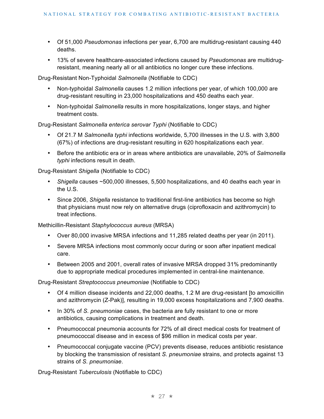- Of 51,000 *Pseudomonas* infections per year, 6,700 are multidrug-resistant causing 440 deaths.
- 13% of severe healthcare-associated infections caused by *Pseudomonas* are multidrugresistant, meaning nearly all or all antibiotics no longer cure these infections.

Drug-Resistant Non-Typhoidal *Salmonella* (Notifiable to CDC)

- Non-typhoidal *Salmonella* causes 1.2 million infections per year, of which 100,000 are drug-resistant resulting in 23,000 hospitalizations and 450 deaths each year.
- Non-typhoidal *Salmonella* results in more hospitalizations, longer stays, and higher treatment costs.

Drug-Resistant *Salmonella enterica serovar Typhi* (Notifiable to CDC)

- Of 21.7 M *Salmonella typhi* infections worldwide, 5,700 illnesses in the U.S. with 3,800 (67%) of infections are drug-resistant resulting in 620 hospitalizations each year.
- Before the antibiotic era or in areas where antibiotics are unavailable, 20% of *Salmonella typhi* infections result in death.

Drug-Resistant *Shigella* (Notifiable to CDC)

- *Shigella* causes ~500,000 illnesses, 5,500 hospitalizations, and 40 deaths each year in the U.S.
- Since 2006, *Shigella* resistance to traditional first-line antibiotics has become so high that physicians must now rely on alternative drugs (ciprofloxacin and azithromycin) to treat infections.

Methicillin-Resistant *Staphylococcus aureus* (MRSA)

- Over 80,000 invasive MRSA infections and 11,285 related deaths per year (in 2011).
- Severe MRSA infections most commonly occur during or soon after inpatient medical care.
- Between 2005 and 2001, overall rates of invasive MRSA dropped 31% predominantly due to appropriate medical procedures implemented in central-line maintenance.

Drug-Resistant *Streptococcus pneumoniae* (Notifiable to CDC)

- Of 4 million disease incidents and 22,000 deaths, 1.2 M are drug-resistant [to amoxicillin] and azithromycin (Z-Pak)], resulting in 19,000 excess hospitalizations and 7,900 deaths.
- In 30% of *S. pneumoniae* cases, the bacteria are fully resistant to one or more antibiotics, causing complications in treatment and death.
- Pneumococcal pneumonia accounts for 72% of all direct medical costs for treatment of pneumococcal disease and in excess of \$96 million in medical costs per year.
- Pneumococcal conjugate vaccine (PCV) prevents disease, reduces antibiotic resistance by blocking the transmission of resistant *S. pneumoniae* strains, and protects against 13 strains of *S. pneumoniae*.

Drug-Resistant *Tuberculosis* (Notifiable to CDC)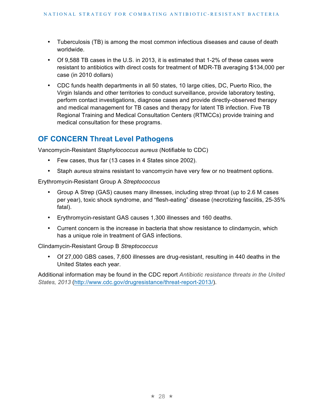- Tuberculosis (TB) is among the most common infectious diseases and cause of death worldwide.
- Of 9,588 TB cases in the U.S. in 2013, it is estimated that 1-2% of these cases were resistant to antibiotics with direct costs for treatment of MDR-TB averaging \$134,000 per case (in 2010 dollars)
- CDC funds health departments in all 50 states, 10 large cities, DC, Puerto Rico, the Virgin Islands and other territories to conduct surveillance, provide laboratory testing, perform contact investigations, diagnose cases and provide directly-observed therapy and medical management for TB cases and therapy for latent TB infection. Five TB Regional Training and Medical Consultation Centers (RTMCCs) provide training and medical consultation for these programs.

### **OF CONCERN Threat Level Pathogens**

Vancomycin-Resistant *Staphylococcus aureus* (Notifiable to CDC)

- Few cases, thus far (13 cases in 4 States since 2002).
- Staph *aureus* strains resistant to vancomycin have very few or no treatment options.

Erythromycin-Resistant Group A *Streptococcus*

- Group A Strep (GAS) causes many illnesses, including strep throat (up to 2.6 M cases per year), toxic shock syndrome, and "flesh-eating" disease (necrotizing fasciitis, 25-35% fatal).
- Erythromycin-resistant GAS causes 1,300 illnesses and 160 deaths.
- Current concern is the increase in bacteria that show resistance to clindamycin, which has a unique role in treatment of GAS infections.

Clindamycin-Resistant Group B *Streptococcus*

• Of 27,000 GBS cases, 7,600 illnesses are drug-resistant, resulting in 440 deaths in the United States each year.

Additional information may be found in the CDC report *Antibiotic resistance threats in the United States, 2013* (http://www.cdc.gov/drugresistance/threat-report-2013/).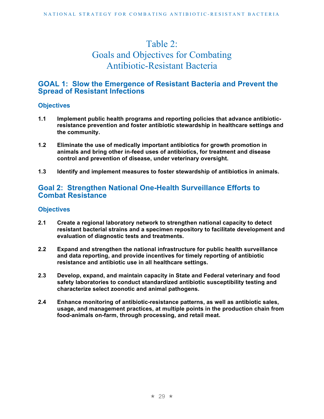## Table 2: Goals and Objectives for Combating Antibiotic-Resistant Bacteria

### **GOAL 1: Slow the Emergence of Resistant Bacteria and Prevent the Spread of Resistant Infections**

### **Objectives**

- **1.1 Implement public health programs and reporting policies that advance antibioticresistance prevention and foster antibiotic stewardship in healthcare settings and the community.**
- **1.2 Eliminate the use of medically important antibiotics for growth promotion in animals and bring other in-feed uses of antibiotics, for treatment and disease control and prevention of disease, under veterinary oversight.**
- **1.3 Identify and implement measures to foster stewardship of antibiotics in animals.**

### **Goal 2: Strengthen National One-Health Surveillance Efforts to Combat Resistance**

#### **Objectives**

- **2.1 Create a regional laboratory network to strengthen national capacity to detect resistant bacterial strains and a specimen repository to facilitate development and evaluation of diagnostic tests and treatments.**
- **2.2 Expand and strengthen the national infrastructure for public health surveillance and data reporting, and provide incentives for timely reporting of antibiotic resistance and antibiotic use in all healthcare settings.**
- **2.3 Develop, expand, and maintain capacity in State and Federal veterinary and food safety laboratories to conduct standardized antibiotic susceptibility testing and characterize select zoonotic and animal pathogens.**
- **2.4 Enhance monitoring of antibiotic-resistance patterns, as well as antibiotic sales, usage, and management practices, at multiple points in the production chain from food-animals on-farm, through processing, and retail meat.**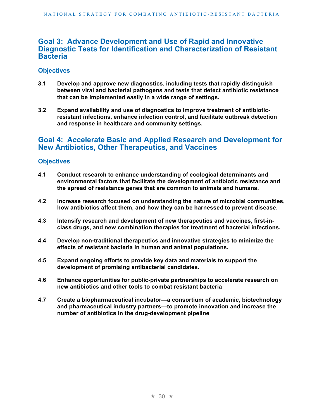### **Goal 3: Advance Development and Use of Rapid and Innovative Diagnostic Tests for Identification and Characterization of Resistant Bacteria**

#### **Objectives**

- **3.1 Develop and approve new diagnostics, including tests that rapidly distinguish between viral and bacterial pathogens and tests that detect antibiotic resistance that can be implemented easily in a wide range of settings.**
- **3.2 Expand availability and use of diagnostics to improve treatment of antibioticresistant infections, enhance infection control, and facilitate outbreak detection and response in healthcare and community settings.**

### **Goal 4: Accelerate Basic and Applied Research and Development for New Antibiotics, Other Therapeutics, and Vaccines**

### **Objectives**

- **4.1 Conduct research to enhance understanding of ecological determinants and environmental factors that facilitate the development of antibiotic resistance and the spread of resistance genes that are common to animals and humans.**
- **4.2 Increase research focused on understanding the nature of microbial communities, how antibiotics affect them, and how they can be harnessed to prevent disease.**
- **4.3 Intensify research and development of new therapeutics and vaccines, first-inclass drugs, and new combination therapies for treatment of bacterial infections.**
- **4.4 Develop non-traditional therapeutics and innovative strategies to minimize the effects of resistant bacteria in human and animal populations.**
- **4.5 Expand ongoing efforts to provide key data and materials to support the development of promising antibacterial candidates.**
- **4.6 Enhance opportunities for public-private partnerships to accelerate research on new antibiotics and other tools to combat resistant bacteria**
- **4.7 Create a biopharmaceutical incubator—a consortium of academic, biotechnology and pharmaceutical industry partners—to promote innovation and increase the number of antibiotics in the drug-development pipeline**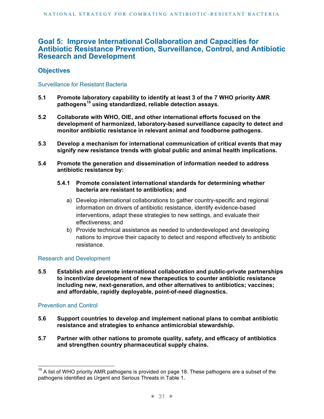### **Goal 5: Improve International Collaboration and Capacities for Antibiotic Resistance Prevention, Surveillance, Control, and Antibiotic Research and Development**

### **Objectives**

#### Surveillance for Resistant Bacteria

- **5.1 Promote laboratory capability to identify at least 3 of the 7 WHO priority AMR pathogens<sup>15</sup> using standardized, reliable detection assays.**
- **5.2 Collaborate with WHO, OIE, and other international efforts focused on the development of harmonized, laboratory-based surveillance capacity to detect and monitor antibiotic resistance in relevant animal and foodborne pathogens.**
- **5.3 Develop a mechanism for international communication of critical events that may signify new resistance trends with global public and animal health implications.**
- **5.4 Promote the generation and dissemination of information needed to address antibiotic resistance by:**
	- **5.4.1 Promote consistent international standards for determining whether bacteria are resistant to antibiotics; and**
		- a) Develop international collaborations to gather country-specific and regional information on drivers of antibiotic resistance, identify evidence-based interventions, adapt these strategies to new settings, and evaluate their effectiveness; and
		- b) Provide technical assistance as needed to underdeveloped and developing nations to improve their capacity to detect and respond effectively to antibiotic resistance.

#### Research and Development

**5.5 Establish and promote international collaboration and public-private partnerships to incentivize development of new therapeutics to counter antibiotic resistance including new, next-generation, and other alternatives to antibiotics; vaccines; and affordable, rapidly deployable, point-of-need diagnostics.**

#### Prevention and Control

- **5.6 Support countries to develop and implement national plans to combat antibiotic resistance and strategies to enhance antimicrobial stewardship.**
- **5.7 Partner with other nations to promote quality, safety, and efficacy of antibiotics and strengthen country pharmaceutical supply chains.**

 $15$  A list of WHO priority AMR pathogens is provided on page 18. These pathogens are a subset of the pathogens identified as Urgent and Serious Threats in Table 1.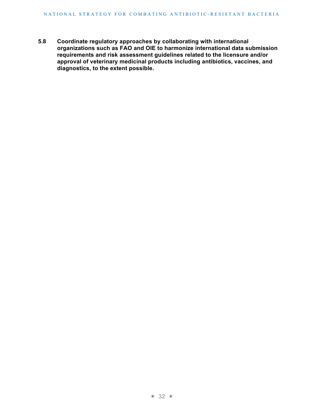**5.8 Coordinate regulatory approaches by collaborating with international organizations such as FAO and OIE to harmonize international data submission requirements and risk assessment guidelines related to the licensure and/or approval of veterinary medicinal products including antibiotics, vaccines, and diagnostics, to the extent possible.**